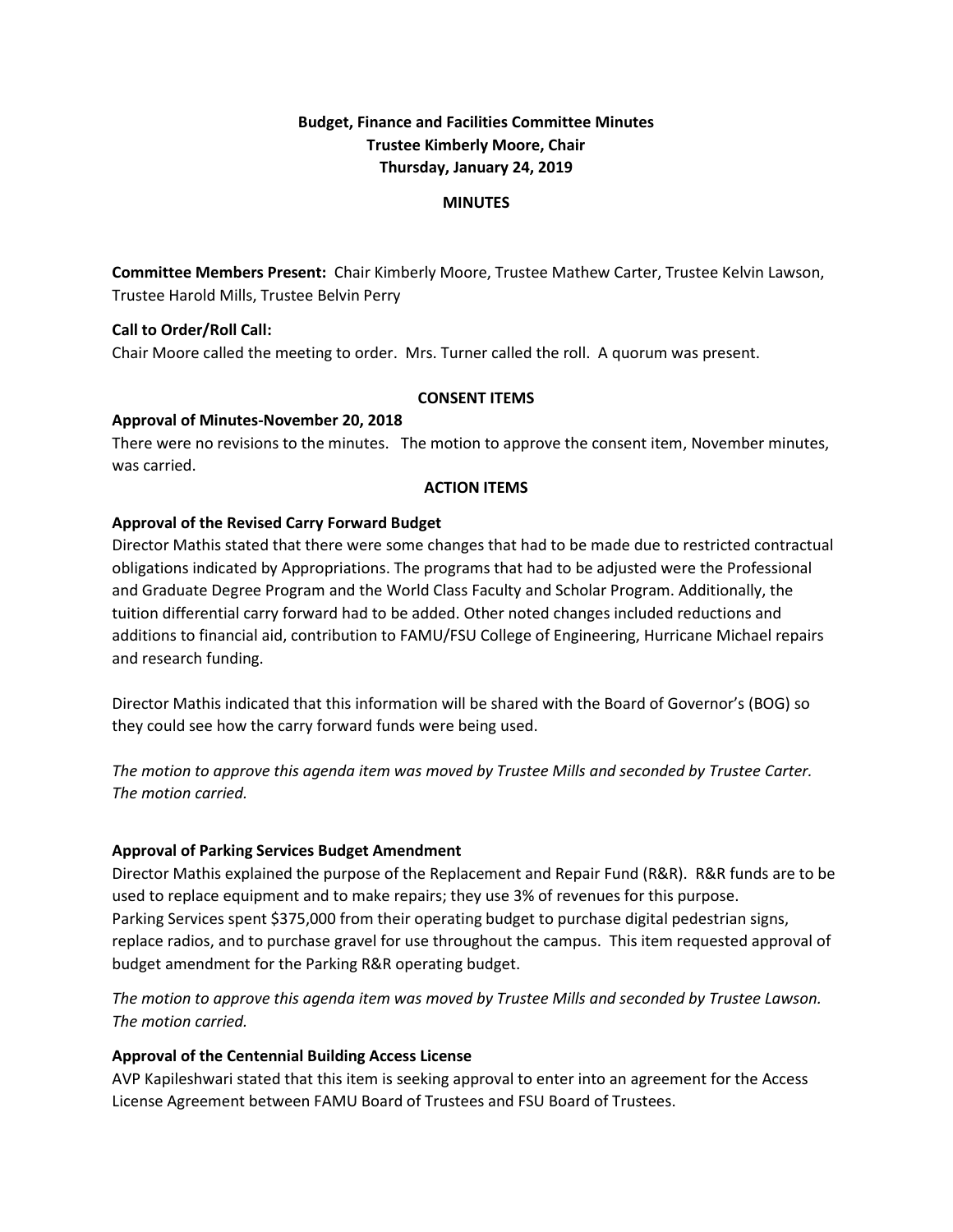# **Budget, Finance and Facilities Committee Minutes Trustee Kimberly Moore, Chair Thursday, January 24, 2019**

#### **MINUTES**

**Committee Members Present:** Chair Kimberly Moore, Trustee Mathew Carter, Trustee Kelvin Lawson, Trustee Harold Mills, Trustee Belvin Perry

## **Call to Order/Roll Call:**

Chair Moore called the meeting to order. Mrs. Turner called the roll. A quorum was present.

#### **CONSENT ITEMS**

#### **Approval of Minutes-November 20, 2018**

There were no revisions to the minutes. The motion to approve the consent item, November minutes, was carried.

#### **ACTION ITEMS**

## **Approval of the Revised Carry Forward Budget**

Director Mathis stated that there were some changes that had to be made due to restricted contractual obligations indicated by Appropriations. The programs that had to be adjusted were the Professional and Graduate Degree Program and the World Class Faculty and Scholar Program. Additionally, the tuition differential carry forward had to be added. Other noted changes included reductions and additions to financial aid, contribution to FAMU/FSU College of Engineering, Hurricane Michael repairs and research funding.

Director Mathis indicated that this information will be shared with the Board of Governor's (BOG) so they could see how the carry forward funds were being used.

*The motion to approve this agenda item was moved by Trustee Mills and seconded by Trustee Carter. The motion carried.*

## **Approval of Parking Services Budget Amendment**

Director Mathis explained the purpose of the Replacement and Repair Fund (R&R). R&R funds are to be used to replace equipment and to make repairs; they use 3% of revenues for this purpose. Parking Services spent \$375,000 from their operating budget to purchase digital pedestrian signs, replace radios, and to purchase gravel for use throughout the campus. This item requested approval of budget amendment for the Parking R&R operating budget.

*The motion to approve this agenda item was moved by Trustee Mills and seconded by Trustee Lawson. The motion carried.*

## **Approval of the Centennial Building Access License**

AVP Kapileshwari stated that this item is seeking approval to enter into an agreement for the Access License Agreement between FAMU Board of Trustees and FSU Board of Trustees.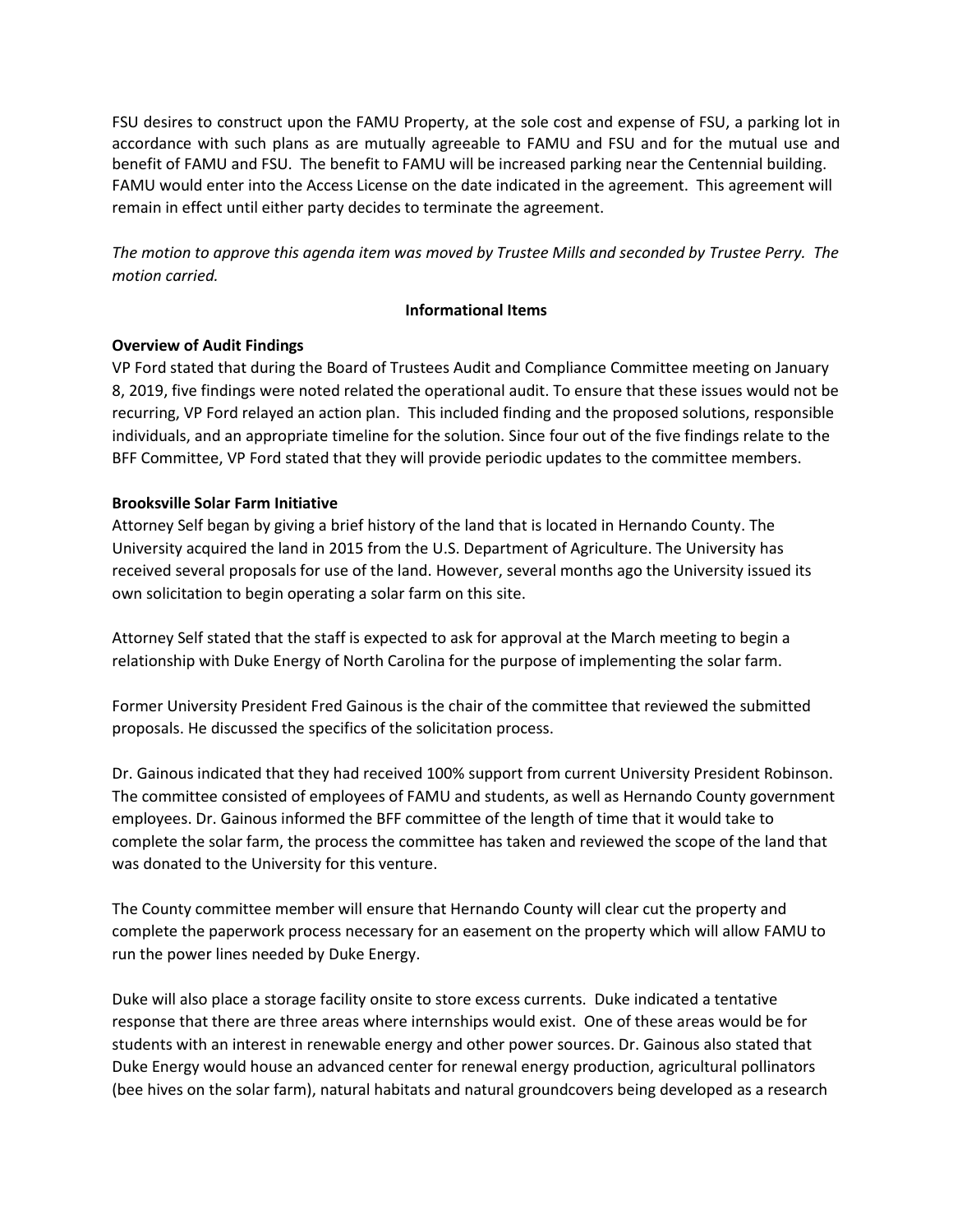FSU desires to construct upon the FAMU Property, at the sole cost and expense of FSU, a parking lot in accordance with such plans as are mutually agreeable to FAMU and FSU and for the mutual use and benefit of FAMU and FSU. The benefit to FAMU will be increased parking near the Centennial building. FAMU would enter into the Access License on the date indicated in the agreement. This agreement will remain in effect until either party decides to terminate the agreement.

*The motion to approve this agenda item was moved by Trustee Mills and seconded by Trustee Perry. The motion carried.*

## **Informational Items**

# **Overview of Audit Findings**

VP Ford stated that during the Board of Trustees Audit and Compliance Committee meeting on January 8, 2019, five findings were noted related the operational audit. To ensure that these issues would not be recurring, VP Ford relayed an action plan. This included finding and the proposed solutions, responsible individuals, and an appropriate timeline for the solution. Since four out of the five findings relate to the BFF Committee, VP Ford stated that they will provide periodic updates to the committee members.

# **Brooksville Solar Farm Initiative**

Attorney Self began by giving a brief history of the land that is located in Hernando County. The University acquired the land in 2015 from the U.S. Department of Agriculture. The University has received several proposals for use of the land. However, several months ago the University issued its own solicitation to begin operating a solar farm on this site.

Attorney Self stated that the staff is expected to ask for approval at the March meeting to begin a relationship with Duke Energy of North Carolina for the purpose of implementing the solar farm.

Former University President Fred Gainous is the chair of the committee that reviewed the submitted proposals. He discussed the specifics of the solicitation process.

Dr. Gainous indicated that they had received 100% support from current University President Robinson. The committee consisted of employees of FAMU and students, as well as Hernando County government employees. Dr. Gainous informed the BFF committee of the length of time that it would take to complete the solar farm, the process the committee has taken and reviewed the scope of the land that was donated to the University for this venture.

The County committee member will ensure that Hernando County will clear cut the property and complete the paperwork process necessary for an easement on the property which will allow FAMU to run the power lines needed by Duke Energy.

Duke will also place a storage facility onsite to store excess currents. Duke indicated a tentative response that there are three areas where internships would exist. One of these areas would be for students with an interest in renewable energy and other power sources. Dr. Gainous also stated that Duke Energy would house an advanced center for renewal energy production, agricultural pollinators (bee hives on the solar farm), natural habitats and natural groundcovers being developed as a research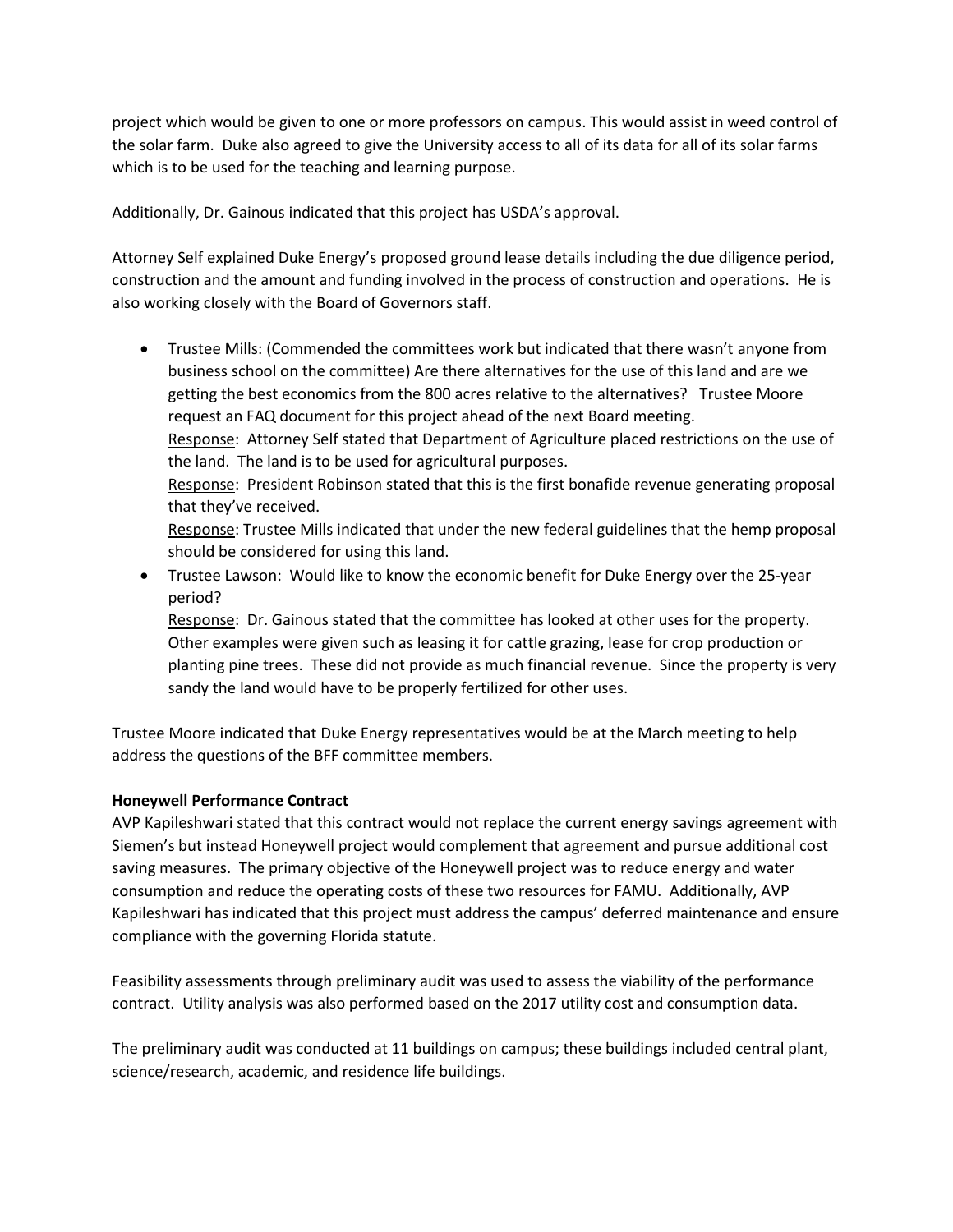project which would be given to one or more professors on campus. This would assist in weed control of the solar farm. Duke also agreed to give the University access to all of its data for all of its solar farms which is to be used for the teaching and learning purpose.

Additionally, Dr. Gainous indicated that this project has USDA's approval.

Attorney Self explained Duke Energy's proposed ground lease details including the due diligence period, construction and the amount and funding involved in the process of construction and operations. He is also working closely with the Board of Governors staff.

- Trustee Mills: (Commended the committees work but indicated that there wasn't anyone from business school on the committee) Are there alternatives for the use of this land and are we getting the best economics from the 800 acres relative to the alternatives? Trustee Moore request an FAQ document for this project ahead of the next Board meeting. Response: Attorney Self stated that Department of Agriculture placed restrictions on the use of the land. The land is to be used for agricultural purposes. Response: President Robinson stated that this is the first bonafide revenue generating proposal that they've received. Response: Trustee Mills indicated that under the new federal guidelines that the hemp proposal should be considered for using this land.
- Trustee Lawson: Would like to know the economic benefit for Duke Energy over the 25-year period?

Response: Dr. Gainous stated that the committee has looked at other uses for the property. Other examples were given such as leasing it for cattle grazing, lease for crop production or planting pine trees. These did not provide as much financial revenue. Since the property is very sandy the land would have to be properly fertilized for other uses.

Trustee Moore indicated that Duke Energy representatives would be at the March meeting to help address the questions of the BFF committee members.

## **Honeywell Performance Contract**

AVP Kapileshwari stated that this contract would not replace the current energy savings agreement with Siemen's but instead Honeywell project would complement that agreement and pursue additional cost saving measures. The primary objective of the Honeywell project was to reduce energy and water consumption and reduce the operating costs of these two resources for FAMU. Additionally, AVP Kapileshwari has indicated that this project must address the campus' deferred maintenance and ensure compliance with the governing Florida statute.

Feasibility assessments through preliminary audit was used to assess the viability of the performance contract. Utility analysis was also performed based on the 2017 utility cost and consumption data.

The preliminary audit was conducted at 11 buildings on campus; these buildings included central plant, science/research, academic, and residence life buildings.